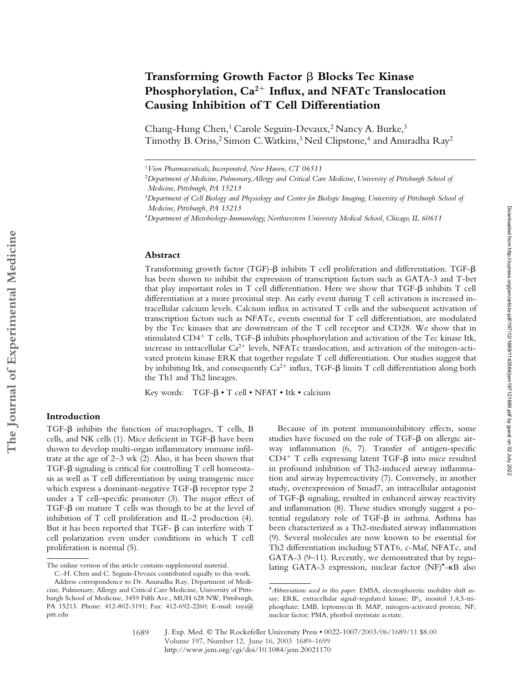# Transforming Growth Factor  $\beta$  Blocks Tec Kinase **Phosphorylation, Ca2 Influx, and NFATc Translocation Causing Inhibition of T Cell Differentiation**

Chang-Hung Chen,<sup>1</sup> Carole Seguin-Devaux,<sup>2</sup> Nancy A. Burke,<sup>3</sup> Timothy B. Oriss,<sup>2</sup> Simon C. Watkins,<sup>3</sup> Neil Clipstone,<sup>4</sup> and Anuradha Ray<sup>2</sup>

<sup>4</sup>*Department of Microbiology-Immunology, Northwestern University Medical School, Chicago, IL 60611*

#### **Abstract**

Transforming growth factor (TGF)- $\beta$  inhibits T cell proliferation and differentiation. TGF- $\beta$ has been shown to inhibit the expression of transcription factors such as GATA-3 and T-bet that play important roles in T cell differentiation. Here we show that TGF- $\beta$  inhibits T cell differentiation at a more proximal step. An early event during T cell activation is increased intracellular calcium levels. Calcium influx in activated T cells and the subsequent activation of transcription factors such as NFATc, events essential for T cell differentiation, are modulated by the Tec kinases that are downstream of the T cell receptor and CD28. We show that in stimulated CD4<sup>+</sup> T cells, TGF- $\beta$  inhibits phosphorylation and activation of the Tec kinase Itk, increase in intracellular  $Ca^{2+}$  levels, NFATc translocation, and activation of the mitogen-activated protein kinase ERK that together regulate T cell differentiation. Our studies suggest that by inhibiting Itk, and consequently  $Ca^{2+}$  influx, TGF- $\beta$  limits T cell differentiation along both the Th1 and Th2 lineages.

Key words:  $TGF-\beta \cdot T$  cell  $\cdot$  NFAT  $\cdot$  Itk  $\cdot$  calcium

## **Introduction**

TGF- $\beta$  inhibits the function of macrophages, T cells, B cells, and NK cells (1). Mice deficient in TGF- $\beta$  have been shown to develop multi-organ inflammatory immune infiltrate at the age of 2–3 wk (2). Also, it has been shown that TGF- $\beta$  signaling is critical for controlling T cell homeostasis as well as T cell differentiation by using transgenic mice which express a dominant-negative TGF- $\beta$  receptor type 2 under a T cell–specific promoter (3). The major effect of  $TGF-\beta$  on mature  $T$  cells was though to be at the level of inhibition of T cell proliferation and IL-2 production (4). But it has been reported that TGF- $\beta$  can interfere with T cell polarization even under conditions in which T cell proliferation is normal (5).

Because of its potent immunoinhibitory effects, some studies have focused on the role of TGF- $\beta$  on allergic airway inflammation (6, 7). Transfer of antigen-specific  $CD4^+$  T cells expressing latent TGF- $\beta$  into mice resulted in profound inhibition of Th2-induced airway inflammation and airway hyperreactivity (7). Conversely, in another study, overexpression of Smad7, an intracellular antagonist of TGF- $\beta$  signaling, resulted in enhanced airway reactivity and inflammation (8). These studies strongly suggest a potential regulatory role of TGF- $\beta$  in asthma. Asthma has been characterized as a Th2-mediated airway inflammation (9). Several molecules are now known to be essential for Th2 differentiation including STAT6, c-Maf, NFATc, and GATA-3 (9–11). Recently, we demonstrated that by regu-The online version of this article contains supplemental material. lating GATA-3 expression, nuclear factor (NF)\*-KB also

<sup>1</sup>*Vion Pharmaceuticals, Incorporated, New Haven, CT 06511* 

<sup>2</sup>*Department of Medicine, Pulmonary, Allergy and Critical Care Medicine, University of Pittsburgh School of Medicine, Pittsburgh, PA 15213*

<sup>3</sup>*Department of Cell Biology and Physiology and Center for Biologic Imaging, University of Pittsburgh School of Medicine, Pittsburgh, PA 15213*

C.-H. Chen and C. Seguin-Devaux contributed equally to this work.

Address correspondence to Dr. Anuradha Ray, Department of Medicine, Pulmonary, Allergy and Critical Care Medicine, University of Pittsburgh School of Medicine, 3459 Fifth Ave., MUH 628 NW, Pittsburgh, PA 15213. Phone: 412-802-3191; Fax: 412-692-2260; E-mail: raya@ pitt.edu

<sup>\*</sup>*Abbreviations used in this paper:* EMSA, electrophoretic mobility shift assay; ERK, extracellular signal–regulated kinase; IP<sub>3</sub>, inositol 1,4,5-triphosphate; LMB, leptomycin B; MAP, mitogen-activated protein; NF, nuclear factor; PMA, phorbol myristate acetate.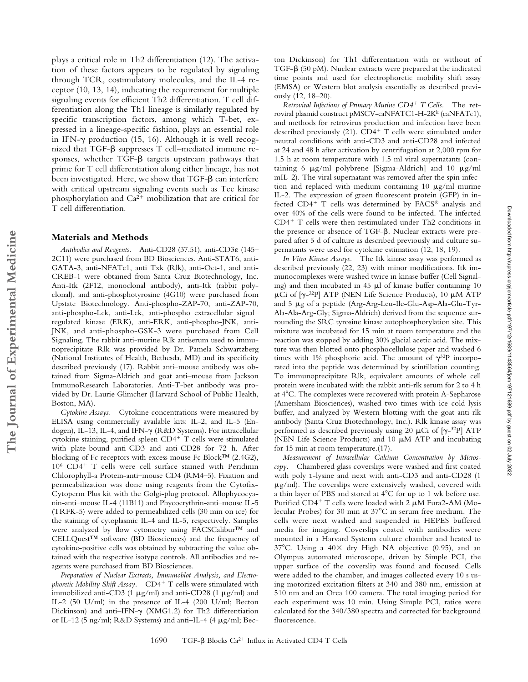plays a critical role in Th2 differentiation (12). The activation of these factors appears to be regulated by signaling through TCR, costimulatory molecules, and the IL-4 receptor (10, 13, 14), indicating the requirement for multiple signaling events for efficient Th2 differentiation. T cell differentiation along the Th1 lineage is similarly regulated by specific transcription factors, among which T-bet, expressed in a lineage-specific fashion, plays an essential role in IFN- $\gamma$  production (15, 16). Although it is well recog $nized$  that TGF- $\beta$  suppresses T cell–mediated immune responses, whether  $TGF-\beta$  targets upstream pathways that prime for T cell differentiation along either lineage, has not been investigated. Here, we show that  $TGF-\beta$  can interfere with critical upstream signaling events such as Tec kinase phosphorylation and  $Ca^{2+}$  mobilization that are critical for T cell differentiation.

### **Materials and Methods**

**The Journal of Experimental Medicine**

The Journal of Experimental Medicine

Antibodies and Reagents. Anti-CD28 (37.51), anti-CD3 $\varepsilon$  (145– 2C11) were purchased from BD Biosciences. Anti-STAT6, anti-GATA-3, anti-NFATc1, anti Txk (Rlk), anti-Oct-1, and anti-CREB-1 were obtained from Santa Cruz Biotechnology, Inc. Anti-Itk (2F12, monoclonal antibody), anti-Itk (rabbit polyclonal), and anti-phosphotyrosine (4G10) were purchased from Upstate Biotechnology. Anti-phospho-ZAP-70, anti-ZAP-70, anti-phospho-Lck, anti-Lck, anti-phospho–extracellular signal– regulated kinase (ERK), anti-ERK, anti-phospho-JNK, anti-JNK, and anti-phospho-GSK-3 were purchased from Cell Signaling. The rabbit anti-murine Rlk antiserum used to immunoprecipitate Rlk was provided by Dr. Pamela Schwartzberg (National Institutes of Health, Bethesda, MD) and its specificity described previously (17). Rabbit anti–mouse antibody was obtained from Sigma-Aldrich and goat anti–mouse from Jackson ImmunoResearch Laboratories. Anti-T-bet antibody was provided by Dr. Laurie Glimcher (Harvard School of Public Health, Boston, MA).

*Cytokine Assays.* Cytokine concentrations were measured by ELISA using commercially available kits: IL-2, and IL-5 (Endogen), IL-13, IL-4, and IFN- $\gamma$  (R&D Systems). For intracellular cytokine staining, purified spleen  $CD4^+$  T cells were stimulated with plate-bound anti-CD3 and anti-CD28 for 72 h. After blocking of Fc receptors with excess mouse Fc Block™ (2.4G2),  $10^6$  CD4<sup>+</sup> T cells were cell surface stained with Peridinin Chlorophyll-a Protein-anti–mouse CD4 (RM4–5). Fixation and permeabilization was done using reagents from the Cytofix-Cytoperm Plus kit with the Golgi-plug protocol. Allophycocyanin-anti–mouse IL-4 (11B11) and Phycoerythrin-anti–mouse IL-5 (TRFK-5) were added to permeabilized cells (30 min on ice) for the staining of cytoplasmic IL-4 and IL-5, respectively. Samples were analyzed by flow cytometry using FACSCalibur™ and CELLQuest™ software (BD Biosciences) and the frequency of cytokine-positive cells was obtained by subtracting the value obtained with the respective isotype controls. All antibodies and reagents were purchased from BD Biosciences.

*Preparation of Nuclear Extracts, Immunoblot Analysis, and Electrophoretic Mobility Shift Assay.* CD4<sup>+</sup> T cells were stimulated with immobilized anti-CD3 (1  $\mu$ g/ml) and anti-CD28 (1  $\mu$ g/ml) and IL-2 (50 U/ml) in the presence of IL-4 (200 U/ml; Becton Dickinson) and anti-IFN- $\gamma$  (XMG1.2) for Th2 differentiation or IL-12 (5 ng/ml; R&D Systems) and anti-IL-4 (4  $\mu$ g/ml; Bec-

ton Dickinson) for Th1 differentiation with or without of TGF- $\beta$  (50 pM). Nuclear extracts were prepared at the indicated time points and used for electrophoretic mobility shift assay (EMSA) or Western blot analysis essentially as described previously (12, 18–20).

*Retroviral Infections of Primary Murine CD4 T Cells.* The retroviral plasmid construct pMSCV-caNFATC1-H-2Kk (caNFATc1), and methods for retrovirus production and infection have been described previously  $(21)$ . CD4<sup>+</sup> T cells were stimulated under neutral conditions with anti-CD3 and anti-CD28 and infected at 24 and 48 h after activation by centrifugation at 2,000 rpm for 1.5 h at room temperature with 1.5 ml viral supernatants (containing 6  $\mu$ g/ml polybrene [Sigma-Aldrich] and 10  $\mu$ g/ml mIL-2). The viral supernatant was removed after the spin infection and replaced with medium containing 10  $\mu$ g/ml murine IL-2. The expression of green fluorescent protein (GFP) in infected  $CD4^+$  T cells was determined by  $FACS^{\circledast}$  analysis and over 40% of the cells were found to be infected. The infected  $CD4^+$  T cells were then restimulated under Th2 conditions in the presence or absence of TGF- $\beta$ . Nuclear extracts were prepared after 5 d of culture as described previously and culture supernatants were used for cytokine estimation (12, 18, 19).

*In Vitro Kinase Assays.* The Itk kinase assay was performed as described previously (22, 23) with minor modifications. Itk immunocomplexes were washed twice in kinase buffer (Cell Signaling) and then incubated in  $45 \mu l$  of kinase buffer containing 10  $\mu$ Ci of [ $\gamma$ -<sup>32</sup>P] ATP (NEN Life Science Products), 10  $\mu$ M ATP and 5 µg of a peptide (Arg-Arg-Leu-Ile-Glu-Asp-Ala-Glu-Tyr-Ala-Ala-Arg-Gly; Sigma-Aldrich) derived from the sequence surrounding the SRC tyrosine kinase autophosphorylation site. This mixture was incubated for 15 min at room temperature and the reaction was stopped by adding 30% glacial acetic acid. The mixture was then blotted onto phosphocellulose paper and washed 6 times with 1% phosphoric acid. The amount of  $\gamma^{32}P$  incorporated into the peptide was determined by scintillation counting. To immunoprecipitate Rlk, equivalent amounts of whole cell protein were incubated with the rabbit anti-rlk serum for 2 to 4 h at 4°C. The complexes were recovered with protein A-Sepharose (Amersham Biosciences), washed two times with ice cold lysis buffer, and analyzed by Western blotting with the goat anti-rlk antibody (Santa Cruz Biotechnology, Inc.). Rlk kinase assay was performed as described previously using 20  $\mu$ Ci of [ $\gamma$ -<sup>32</sup>P] ATP (NEN Life Science Products) and  $10 \mu M$  ATP and incubating for 15 min at room temperature.(17).

*Measurement of Intracellular Calcium Concentration by Microscopy.* Chambered glass coverslips were washed and first coated with poly l-lysine and next with anti-CD3 and anti-CD28 (1  $\mu$ g/ml). The coverslips were extensively washed, covered with a thin layer of PBS and stored at 4°C for up to 1 wk before use. Purified CD4<sup>+</sup> T cells were loaded with 2  $\mu$ M Fura2-AM (Molecular Probes) for 30 min at 37°C in serum free medium. The cells were next washed and suspended in HEPES buffered media for imaging. Coverslips coated with antibodies were mounted in a Harvard Systems culture chamber and heated to  $37^{\circ}$ C. Using a  $40\times$  dry High NA objective (0.95), and an Olympus automated microscope, driven by Simple PCI, the upper surface of the coverslip was found and focused. Cells were added to the chamber, and images collected every 10 s using motorized excitation filters at 340 and 380 nm, emission at 510 nm and an Orca 100 camera. The total imaging period for each experiment was 10 min. Using Simple PCI, ratios were calculated for the 340/380 spectra and corrected for background fluorescence.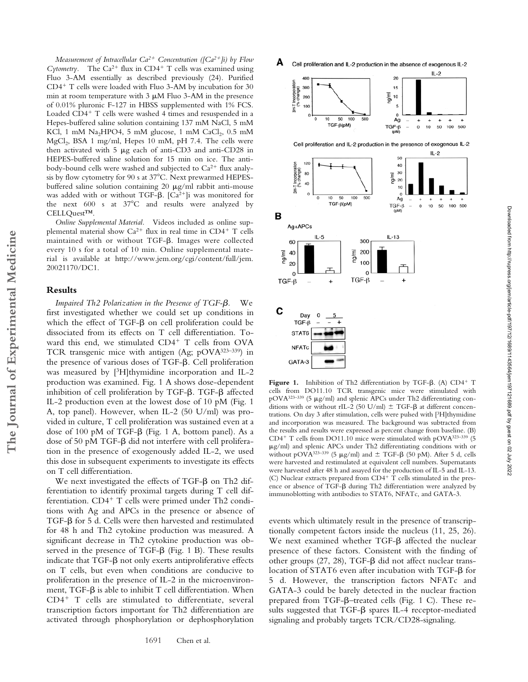*Measurement of Intracellular Ca2 Concentration ([Ca2]i) by Flow Cytometry.* The  $Ca^{2+}$  flux in CD4<sup>+</sup> T cells was examined using Fluo 3-AM essentially as described previously (24). Purified  $CD4+T$  cells were loaded with Fluo 3-AM by incubation for 30 min at room temperature with  $3 \mu M$  Fluo 3-AM in the presence of 0.01% pluronic F-127 in HBSS supplemented with 1% FCS. Loaded  $CD4+T$  cells were washed 4 times and resuspended in a Hepes-buffered saline solution containing 137 mM NaCl, 5 mM KCl, 1 mM  $Na<sub>2</sub>HPO4$ , 5 mM glucose, 1 mM  $CaCl<sub>2</sub>$ , 0.5 mM MgCl<sub>2</sub>, BSA 1 mg/ml, Hepes 10 mM, pH 7.4. The cells were then activated with  $5 \mu$ g each of anti-CD3 and anti-CD28 in HEPES-buffered saline solution for 15 min on ice. The antibody-bound cells were washed and subjected to  $Ca^{2+}$  flux analysis by flow cytometry for 90 s at  $37^{\circ}$ C. Next prewarmed HEPESbuffered saline solution containing 20  $\mu$ g/ml rabbit anti-mouse was added with or without TGF- $\beta$ . [Ca<sup>2+</sup>]i was monitored for the next  $600$  s at  $37^{\circ}$ C and results were analyzed by CELLQuest™.

*Online Supplemental Material.* Videos included as online supplemental material show  $Ca^{2+}$  flux in real time in CD4<sup>+</sup> T cells maintained with or without TGF- $\beta$ . Images were collected every 10 s for a total of 10 min. Online supplemental material is available at http://www.jem.org/cgi/content/full/jem. 20021170/DC1.

#### **Results**

**The Journal of Experimental Medicine**

The Journal of Experimental Medicine

*Impaired Th2 Polarization in the Presence of TGF-β.* We first investigated whether we could set up conditions in which the effect of TGF- $\beta$  on cell proliferation could be dissociated from its effects on T cell differentiation. Toward this end, we stimulated  $CD4^+$  T cells from OVA TCR transgenic mice with antigen (Ag; pOVA323–339) in the presence of various doses of TGF- $\beta$ . Cell proliferation was measured by [3H]thymidine incorporation and IL-2 production was examined. Fig. 1 A shows dose-dependent inhibition of cell proliferation by TGF- $\beta$ . TGF- $\beta$  affected IL-2 production even at the lowest dose of 10 pM (Fig. 1 A, top panel). However, when IL-2 (50 U/ml) was provided in culture, T cell proliferation was sustained even at a dose of 100 pM of TGF- $\beta$  (Fig. 1 A, bottom panel). As a dose of 50 pM TGF- $\beta$  did not interfere with cell proliferation in the presence of exogenously added IL-2, we used this dose in subsequent experiments to investigate its effects on T cell differentiation.

We next investigated the effects of TGF- $\beta$  on Th2 differentiation to identify proximal targets during T cell differentiation.  $CD4^+$  T cells were primed under Th2 conditions with Ag and APCs in the presence or absence of TGF- $\beta$  for 5 d. Cells were then harvested and restimulated for 48 h and Th2 cytokine production was measured. A significant decrease in Th2 cytokine production was observed in the presence of TGF- $\beta$  (Fig. 1 B). These results indicate that  $TGF-\beta$  not only exerts antiproliferative effects on T cells, but even when conditions are conducive to proliferation in the presence of IL-2 in the microenvironment, TGF- $\beta$  is able to inhibit T cell differentiation. When  $CD4^+$  T cells are stimulated to differentiate, several transcription factors important for Th2 differentiation are activated through phosphorylation or dephosphorylation

A Cell proliferation and IL-2 production in the absence of exogenous IL-2



Figure 1. Inhibition of Th2 differentiation by TGF- $\beta$ . (A) CD4<sup>+</sup> T cells from DO11.10 TCR transgenic mice were stimulated with pOVA<sup>323–339</sup> (5  $\mu$ g/ml) and splenic APCs under Th2 differentiating conditions with or without rIL-2 (50 U/ml)  $\pm$  TGF- $\beta$  at different concentrations. On day 3 after stimulation, cells were pulsed with [3H]thymidine and incorporation was measured. The background was subtracted from the results and results were expressed as percent change from baseline. (B)  $CD4^+$  T cells from DO11.10 mice were stimulated with pOVA $323-339$  (5 g/ml) and splenic APCs under Th2 differentiating conditions with or without pOVA<sup>323–339</sup> (5  $\mu$ g/ml) and  $\pm$  TGF- $\beta$  (50 pM). After 5 d, cells were harvested and restimulated at equivalent cell numbers. Supernatants were harvested after 48 h and assayed for the production of IL-5 and IL-13. (C) Nuclear extracts prepared from  $CD4^+$  T cells stimulated in the presence or absence of TGF- $\beta$  during Th2 differentiation were analyzed by immunoblotting with antibodies to STAT6, NFATc, and GATA-3.

events which ultimately result in the presence of transcriptionally competent factors inside the nucleus (11, 25, 26). We next examined whether TGF- $\beta$  affected the nuclear presence of these factors. Consistent with the finding of other groups  $(27, 28)$ , TGF- $\beta$  did not affect nuclear translocation of STAT6 even after incubation with TGF- $\beta$  for 5 d. However, the transcription factors NFATc and GATA-3 could be barely detected in the nuclear fraction prepared from TGF- $\beta$ -treated cells (Fig. 1 C). These results suggested that  $TGF-\beta$  spares IL-4 receptor-mediated signaling and probably targets TCR/CD28-signaling.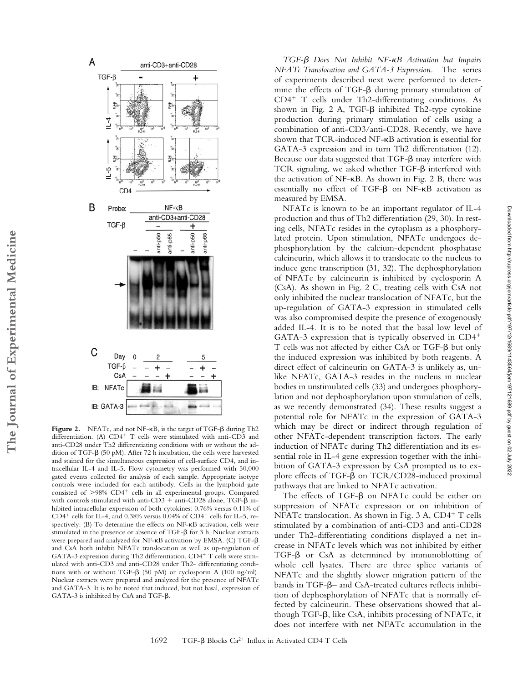

Figure 2. NFATc, and not NF- $\kappa$ B, is the target of TGF- $\beta$  during Th2 differentiation. (A)  $CD4^+$  T cells were stimulated with anti-CD3 and anti-CD28 under Th2 differentiating conditions with or without the addition of TGF- $\beta$  (50 pM). After 72 h incubation, the cells were harvested and stained for the simultaneous expression of cell-surface CD4, and intracellular IL-4 and IL-5. Flow cytometry was performed with 50,000 gated events collected for analysis of each sample. Appropriate isotype controls were included for each antibody. Cells in the lymphoid gate consisted of  $>98\%$  CD4<sup>+</sup> cells in all experimental groups. Compared with controls stimulated with anti-CD3 + anti-CD28 alone, TGF- $\beta$  inhibited intracellular expression of both cytokines: 0.76% versus 0.11% of CD4<sup>+</sup> cells for IL-4, and 0.38% versus 0.04% of CD4<sup>+</sup> cells for IL-5, respectively. (B) To determine the effects on NF-KB activation, cells were stimulated in the presence or absence of TGF- $\beta$  for 3 h. Nuclear extracts were prepared and analyzed for NF-KB activation by EMSA. (C) TGF- $\beta$ and CsA both inhibit NFATc translocation as well as up-regulation of GATA-3 expression during Th2 differentiation. CD4+ T cells were stimulated with anti-CD3 and anti-CD28 under Th2- differentiating conditions with or without TGF- $\beta$  (50 pM) or cyclosporin A (100 ng/ml). Nuclear extracts were prepared and analyzed for the presence of NFATc and GATA-3. It is to be noted that induced, but not basal, expression of  $GATA-3$  is inhibited by  $CsA$  and  $TGF-\beta$ .

TGF- $\beta$  Does Not Inhibit NF-*KB Activation but Impairs NFATc Translocation and GATA-3 Expression.* The series of experiments described next were performed to determine the effects of TGF- $\beta$  during primary stimulation of  $CD4^+$  T cells under Th2-differentiating conditions. As shown in Fig. 2 A, TGF- $\beta$  inhibited Th2-type cytokine production during primary stimulation of cells using a combination of anti-CD3/anti-CD28. Recently, we have shown that TCR-induced NF-KB activation is essential for GATA-3 expression and in turn Th2 differentiation (12). Because our data suggested that  $TGF-\beta$  may interfere with TCR signaling, we asked whether TGF- $\beta$  interfered with the activation of  $NF-\kappa B$ . As shown in Fig. 2 B, there was essentially no effect of TGF- $\beta$  on NF- $\kappa$ B activation as measured by EMSA.

NFATc is known to be an important regulator of IL-4 production and thus of Th2 differentiation (29, 30). In resting cells, NFATc resides in the cytoplasm as a phosphorylated protein. Upon stimulation, NFATc undergoes dephosphorylation by the calcium-dependent phosphatase calcineurin, which allows it to translocate to the nucleus to induce gene transcription (31, 32). The dephosphorylation of NFATc by calcineurin is inhibited by cyclosporin A (CsA). As shown in Fig. 2 C, treating cells with CsA not only inhibited the nuclear translocation of NFATc, but the up-regulation of GATA-3 expression in stimulated cells was also compromised despite the presence of exogenously added IL-4. It is to be noted that the basal low level of GATA-3 expression that is typically observed in CD4 T cells was not affected by either CsA or TGF- $\beta$  but only the induced expression was inhibited by both reagents. A direct effect of calcineurin on GATA-3 is unlikely as, unlike NFATc, GATA-3 resides in the nucleus in nuclear bodies in unstimulated cells (33) and undergoes phosphorylation and not dephosphorylation upon stimulation of cells, as we recently demonstrated (34). These results suggest a potential role for NFATc in the expression of GATA-3 which may be direct or indirect through regulation of other NFATc-dependent transcription factors. The early induction of NFATc during Th2 differentiation and its essential role in IL-4 gene expression together with the inhibition of GATA-3 expression by CsA prompted us to explore effects of TGF- $\beta$  on TCR/CD28-induced proximal pathways that are linked to NFATc activation.

The effects of TGF- $\beta$  on NFATc could be either on suppression of NFATc expression or on inhibition of NFATc translocation. As shown in Fig.  $3$  A, CD4<sup>+</sup> T cells stimulated by a combination of anti-CD3 and anti-CD28 under Th2-differentiating conditions displayed a net increase in NFATc levels which was not inhibited by either TGF- $\beta$  or CsA as determined by immunoblotting of whole cell lysates. There are three splice variants of NFATc and the slightly slower migration pattern of the bands in TGF- $\beta$  and CsA-treated cultures reflects inhibition of dephosphorylation of NFATc that is normally effected by calcineurin. These observations showed that although TGF- $\beta$ , like CsA, inhibits processing of NFATc, it does not interfere with net NFATc accumulation in the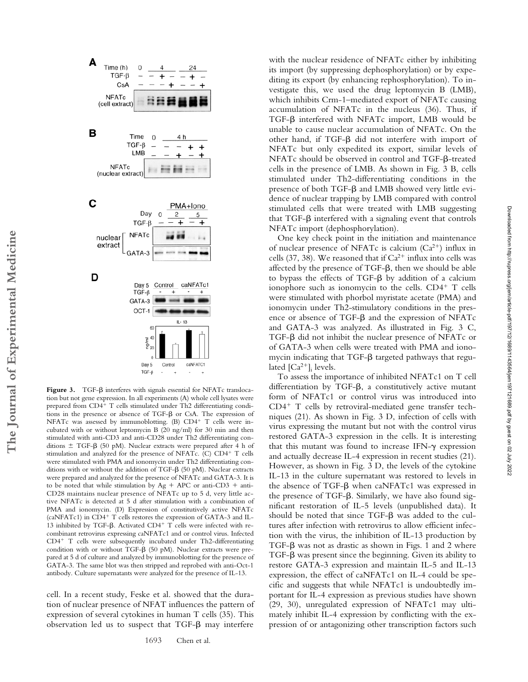

Figure 3. TGF- $\beta$  interferes with signals essential for NFATc translocation but not gene expression. In all experiments (A) whole cell lysates were prepared from CD4<sup>+</sup> T cells stimulated under Th2 differentiating conditions in the presence or absence of  $TGF- $\beta$  or CsA. The expression of$ NFATc was assessed by immunoblotting. (B) CD4+ T cells were incubated with or without leptomycin B (20 ng/ml) for 30 min and then stimulated with anti-CD3 and anti-CD28 under Th2 differentiating conditions  $\pm$  TGF- $\beta$  (50 pM). Nuclear extracts were prepared after 4 h of stimulation and analyzed for the presence of NFATc. (C) CD4<sup>+</sup> T cells were stimulated with PMA and ionomycin under Th2 differentiating conditions with or without the addition of TGF- $\beta$  (50 pM). Nuclear extracts were prepared and analyzed for the presence of NFATc and GATA-3. It is to be noted that while stimulation by  $Ag + APC$  or anti-CD3 + anti-CD28 maintains nuclear presence of NFATc up to 5 d, very little active NFATc is detected at 5 d after stimulation with a combination of PMA and ionomycin. (D) Expression of constitutively active NFATc (caNFATc1) in  $CD4^+$  T cells restores the expression of GATA-3 and IL-13 inhibited by TGF- $\beta$ . Activated CD4<sup>+</sup> T cells were infected with recombinant retrovirus expressing caNFATc1 and or control virus. Infected  $CD4+$  T cells were subsequently incubated under Th2-differentiating condition with or without TGF- $\beta$  (50 pM). Nuclear extracts were prepared at 5 d of culture and analyzed by immunoblotting for the presence of GATA-3. The same blot was then stripped and reprobed with anti-Oct-1 antibody. Culture supernatants were analyzed for the presence of IL-13.

cell. In a recent study, Feske et al. showed that the duration of nuclear presence of NFAT influences the pattern of expression of several cytokines in human T cells (35). This observation led us to suspect that  $TGF-\beta$  may interfere

1693 Chen et al.

with the nuclear residence of NFATc either by inhibiting its import (by suppressing dephosphorylation) or by expediting its export (by enhancing rephosphorylation). To investigate this, we used the drug leptomycin B (LMB), which inhibits Crm-1–mediated export of NFATc causing accumulation of NFATc in the nucleus (36). Thus, if TGF- $\beta$  interfered with NFATc import, LMB would be unable to cause nuclear accumulation of NFATc. On the other hand, if TGF- $\beta$  did not interfere with import of NFATc but only expedited its export, similar levels of NFATc should be observed in control and TGF- $\beta$ -treated cells in the presence of LMB. As shown in Fig. 3 B, cells stimulated under Th2-differentiating conditions in the presence of both  $TGF-\beta$  and LMB showed very little evidence of nuclear trapping by LMB compared with control stimulated cells that were treated with LMB suggesting that TGF- $\beta$  interfered with a signaling event that controls NFATc import (dephosphorylation).

One key check point in the initiation and maintenance of nuclear presence of NFATc is calcium  $(Ca^{2+})$  influx in cells (37, 38). We reasoned that if  $Ca^{2+}$  influx into cells was affected by the presence of  $TGF-\beta$ , then we should be able to bypass the effects of TGF- $\beta$  by addition of a calcium ionophore such as ionomycin to the cells.  $CD4^+$  T cells were stimulated with phorbol myristate acetate (PMA) and ionomycin under Th2-stimulatory conditions in the presence or absence of TGF- $\beta$  and the expression of NFATc and GATA-3 was analyzed. As illustrated in Fig. 3 C, TGF- $\beta$  did not inhibit the nuclear presence of NFATc or of GATA-3 when cells were treated with PMA and ionomycin indicating that  $TGF-\beta$  targeted pathways that regulated  $[Ca^{2+}]_i$  levels.

To assess the importance of inhibited NFATc1 on T cell differentiation by TGF- $\beta$ , a constitutively active mutant form of NFATc1 or control virus was introduced into  $CD4^+$  T cells by retroviral-mediated gene transfer techniques (21). As shown in Fig. 3 D, infection of cells with virus expressing the mutant but not with the control virus restored GATA-3 expression in the cells. It is interesting that this mutant was found to increase IFN- $\gamma$  expression and actually decrease IL-4 expression in recent studies (21). However, as shown in Fig. 3 D, the levels of the cytokine IL-13 in the culture supernatant was restored to levels in the absence of TGF- $\beta$  when caNFATc1 was expressed in the presence of TGF- $\beta$ . Similarly, we have also found significant restoration of IL-5 levels (unpublished data). It should be noted that since  $TGF-\beta$  was added to the cultures after infection with retrovirus to allow efficient infection with the virus, the inhibition of IL-13 production by TGF- $\beta$  was not as drastic as shown in Figs. 1 and 2 where TGF- $\beta$  was present since the beginning. Given its ability to restore GATA-3 expression and maintain IL-5 and IL-13 expression, the effect of caNFATc1 on IL-4 could be specific and suggests that while NFATc1 is undoubtedly important for IL-4 expression as previous studies have shown (29, 30), unregulated expression of NFATc1 may ultimately inhibit IL-4 expression by conflicting with the expression of or antagonizing other transcription factors such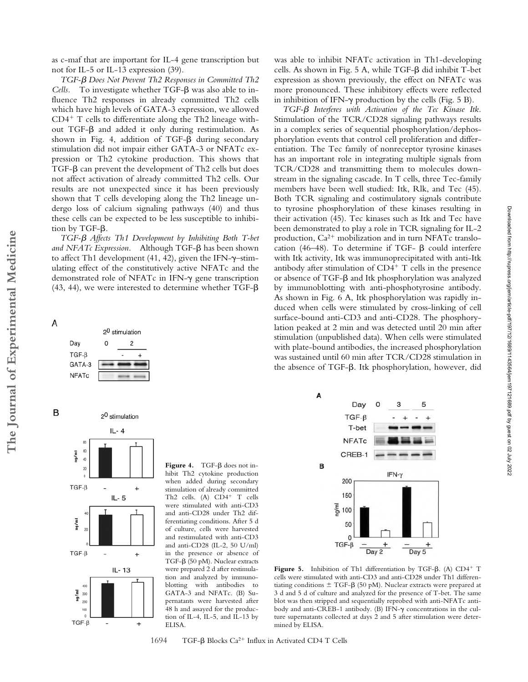TGF- $\beta$  Does Not Prevent Th<sub>2</sub> Responses in Committed Th<sub>2</sub>  $Cells.$  To investigate whether  $TGF-\beta$  was also able to influence Th2 responses in already committed Th2 cells which have high levels of GATA-3 expression, we allowed  $CD4^+$  T cells to differentiate along the Th2 lineage without TGF- $\beta$  and added it only during restimulation. As shown in Fig. 4, addition of TGF- $\beta$  during secondary stimulation did not impair either GATA-3 or NFATc expression or Th2 cytokine production. This shows that TGF- $\beta$  can prevent the development of Th2 cells but does not affect activation of already committed Th2 cells. Our results are not unexpected since it has been previously shown that T cells developing along the Th2 lineage undergo loss of calcium signaling pathways (40) and thus these cells can be expected to be less susceptible to inhibition by TGF- $\beta$ .

TGF- $\beta$  Affects Th1 Development by Inhibiting Both T-bet and NFATc Expression. Although TGF- $\beta$  has been shown to affect Th1 development (41, 42), given the IFN- $\gamma$ -stimulating effect of the constitutively active NFATc and the demonstrated role of NFAT $c$  in IFN- $\gamma$  gene transcription (43, 44), we were interested to determine whether TGF- $\beta$ 



**The Journal of Experimental Medicine**

A

The Journal of Experimental Medicine



 $Figure 4. TGF- $\beta$  does not in$ hibit Th2 cytokine production when added during secondary stimulation of already committed Th2 cells. (A) CD4<sup>+</sup> T cells were stimulated with anti-CD3 and anti-CD28 under Th2 differentiating conditions. After 5 d of culture, cells were harvested and restimulated with anti-CD3 and anti-CD28 (IL-2, 50 U/ml) in the presence or absence of TGF-β (50 pM). Nuclear extracts were prepared 2 d after restimulation and analyzed by immunoblotting with antibodies to GATA-3 and NFATc. (B) Supernatants were harvested after 48 h and assayed for the production of IL-4, IL-5, and IL-13 by ELISA.

was able to inhibit NFATc activation in Th1-developing cells. As shown in Fig. 5 A, while TGF- $\beta$  did inhibit T-bet expression as shown previously, the effect on NFATc was more pronounced. These inhibitory effects were reflected in inhibition of IFN- $\gamma$  production by the cells (Fig. 5 B).

TGF- $\beta$  Interferes with Activation of the Tec Kinase Itk. Stimulation of the TCR/CD28 signaling pathways results in a complex series of sequential phosphorylation/dephosphorylation events that control cell proliferation and differentiation. The Tec family of nonreceptor tyrosine kinases has an important role in integrating multiple signals from TCR/CD28 and transmitting them to molecules downstream in the signaling cascade. In T cells, three Tec-family members have been well studied: Itk, Rlk, and Tec (45). Both TCR signaling and costimulatory signals contribute to tyrosine phosphorylation of these kinases resulting in their activation (45). Tec kinases such as Itk and Tec have been demonstrated to play a role in TCR signaling for IL-2 production,  $Ca^{2+}$  mobilization and in turn NFATc translocation (46-48). To determine if TGF-  $\beta$  could interfere with Itk activity, Itk was immunoprecipitated with anti-Itk antibody after stimulation of  $CD4^+$  T cells in the presence or absence of TGF- $\beta$  and Itk phosphorylation was analyzed by immunoblotting with anti-phosphotyrosine antibody. As shown in Fig. 6 A, Itk phosphorylation was rapidly induced when cells were stimulated by cross-linking of cell surface-bound anti-CD3 and anti-CD28. The phosphorylation peaked at 2 min and was detected until 20 min after stimulation (unpublished data). When cells were stimulated with plate-bound antibodies, the increased phosphorylation was sustained until 60 min after TCR/CD28 stimulation in the absence of TGF- $\beta$ . Itk phosphorylation, however, did



Figure 5. Inhibition of Th1 differentiation by TGF- $\beta$ . (A) CD4<sup>+</sup> T cells were stimulated with anti-CD3 and anti-CD28 under Th1 differentiating conditions  $\pm$  TGF- $\beta$  (50 pM). Nuclear extracts were prepared at 3 d and 5 d of culture and analyzed for the presence of T-bet. The same blot was then stripped and sequentially reprobed with anti-NFATc antibody and anti-CREB-1 antibody. (B) IFN- $\gamma$  concentrations in the culture supernatants collected at days 2 and 5 after stimulation were determined by ELISA.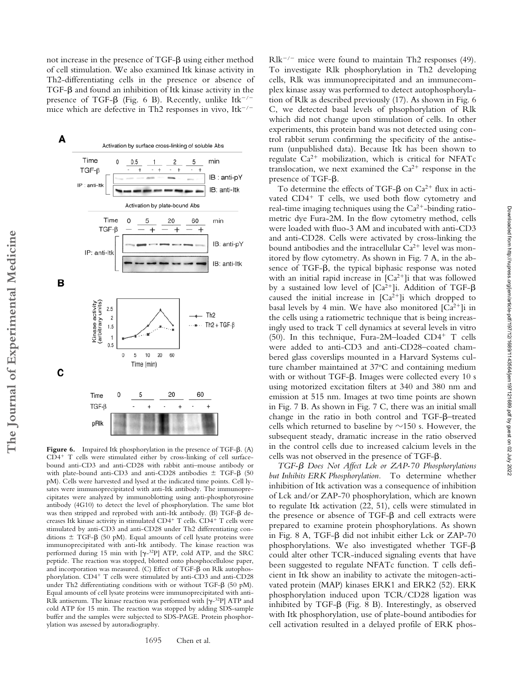not increase in the presence of  $TGF-\beta$  using either method of cell stimulation. We also examined Itk kinase activity in Th2-differentiating cells in the presence or absence of  $TGF-\beta$  and found an inhibition of Itk kinase activity in the presence of TGF- $\beta$  (Fig. 6 B). Recently, unlike Itk<sup>-/-</sup> mice which are defective in Th2 responses in vivo, It $k^{-/-}$ 



Figure 6. Impaired Itk phosphorylation in the presence of TGF- $\beta$ . (A)  $CD4+$  T cells were stimulated either by cross-linking of cell surfacebound anti-CD3 and anti-CD28 with rabbit anti–mouse antibody or with plate-bound anti-CD3 and anti-CD28 antibodies  $\pm$  TGF- $\beta$  (50 pM). Cells were harvested and lysed at the indicated time points. Cell lysates were immunoprecipitated with anti-Itk antibody. The immunoprecipitates were analyzed by immunoblotting using anti-phosphotyrosine antibody (4G10) to detect the level of phosphorylation. The same blot was then stripped and reprobed with anti-Itk antibody. (B) TGF- $\beta$  decreases Itk kinase activity in stimulated CD4<sup>+</sup> T cells. CD4<sup>+</sup> T cells were stimulated by anti-CD3 and anti-CD28 under Th2 differentiating conditions  $\pm$  TGF- $\beta$  (50 pM). Equal amounts of cell lysate proteins were immunoprecipitated with anti-Itk antibody. The kinase reaction was performed during  $15$  min with  $[\gamma^{-32}P]$  ATP, cold ATP, and the SRC peptide. The reaction was stopped, blotted onto phosphocellulose paper, and incorporation was measured. (C) Effect of TGF- $\beta$  on Rlk autophosphorylation. CD4+ T cells were stimulated by anti-CD3 and anti-CD28 under Th2 differentiating conditions with or without TGF- $\beta$  (50 pM). Equal amounts of cell lysate proteins were immunoprecipitated with anti-Rlk antiserum. The kinase reaction was performed with  $[\gamma^{-32}P]$  ATP and cold ATP for 15 min. The reaction was stopped by adding SDS-sample buffer and the samples were subjected to SDS-PAGE. Protein phosphorylation was assessed by autoradiography.

 $Rlk^{-/-}$  mice were found to maintain Th2 responses (49). To investigate Rlk phosphorylation in Th2 developing cells, Rlk was immunoprecipitated and an immunecomplex kinase assay was performed to detect autophosphorylation of Rlk as described previously (17). As shown in Fig. 6 C, we detected basal levels of phsophorylation of Rlk which did not change upon stimulation of cells. In other experiments, this protein band was not detected using control rabbit serum confirming the specificity of the antiserum (unpublished data). Because Itk has been shown to regulate  $Ca^{2+}$  mobilization, which is critical for NFATc translocation, we next examined the  $Ca^{2+}$  response in the presence of TGF- $\beta$ .

To determine the effects of TGF- $\beta$  on Ca<sup>2+</sup> flux in activated  $CD4^+$  T cells, we used both flow cytometry and real-time imaging techniques using the  $Ca^{2+}$ -binding ratiometric dye Fura-2M. In the flow cytometry method, cells were loaded with fluo-3 AM and incubated with anti-CD3 and anti-CD28. Cells were activated by cross-linking the bound antibodies and the intracellular  $Ca^{2+}$  level was monitored by flow cytometry. As shown in Fig. 7 A, in the absence of TGF- $\beta$ , the typical biphasic response was noted with an initial rapid increase in  $[Ca^{2+}]$ i that was followed by a sustained low level of  $[Ca^{2+}]$ i. Addition of TGF- $\beta$ caused the initial increase in  $[Ca^{2+}]$ i which dropped to basal levels by 4 min. We have also monitored  $[Ca<sup>2+</sup>]$ i in the cells using a ratiometric technique that is being increasingly used to track T cell dynamics at several levels in vitro (50). In this technique, Fura-2M-loaded CD4+ T cells were added to anti-CD3 and anti-CD28–coated chambered glass coverslips mounted in a Harvard Systems culture chamber maintained at 37°C and containing medium with or without TGF- $\beta$ . Images were collected every 10 s using motorized excitation filters at 340 and 380 nm and emission at 515 nm. Images at two time points are shown in Fig. 7 B. As shown in Fig. 7 C, there was an initial small change in the ratio in both control and TGF-ß-treated cells which returned to baseline by  $\sim$ 150 s. However, the subsequent steady, dramatic increase in the ratio observed in the control cells due to increased calcium levels in the cells was not observed in the presence of TGF- $\beta$ .

Downloaded from http://rupress.org/jem/article-pdf/197/12/1689/1143564/jem197121689.pdf by guest on 02 July 2022

Downloaded from http://rupress.org/jenr/article-pdf/197/12/1689/1143564/jem197121689.pdf by guest on 02 July 2022

TGF- $\beta$  Does Not Affect Lck or ZAP-70 Phosphorylations *but Inhibits ERK Phosphorylation.* To determine whether inhibition of Itk activation was a consequence of inhibition of Lck and/or ZAP-70 phosphorylation, which are known to regulate Itk activation (22, 51), cells were stimulated in the presence or absence of  $TGF- $\beta$  and cell extracts were$ prepared to examine protein phosphorylations. As shown in Fig. 8 A, TGF- $\beta$  did not inhibit either Lck or ZAP-70 phosphorylations. We also investigated whether  $TGF-\beta$ could alter other TCR-induced signaling events that have been suggested to regulate NFATc function. T cells deficient in Itk show an inability to activate the mitogen-activated protein (MAP) kinases ERK1 and ERK2 (52). ERK phosphorylation induced upon TCR/CD28 ligation was inhibited by TGF- $\beta$  (Fig. 8 B). Interestingly, as observed with Itk phosphorylation, use of plate-bound antibodies for cell activation resulted in a delayed profile of ERK phos-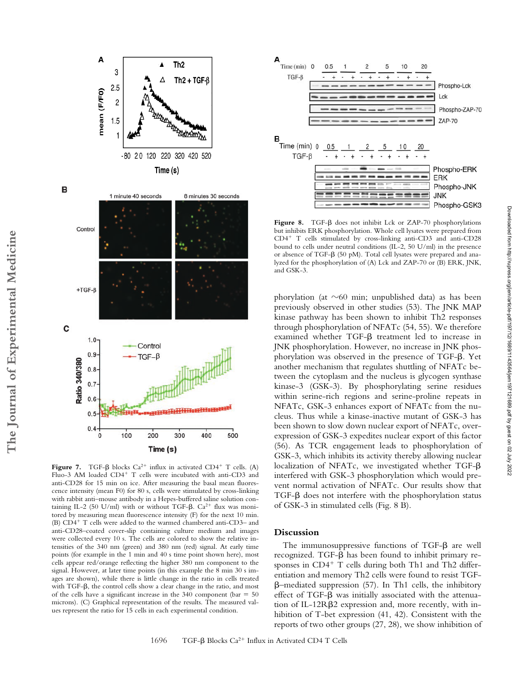

8 minutes 30 seconds

1 minute 40 seconds

B



Figure 7. TGF- $\beta$  blocks Ca<sup>2+</sup> influx in activated CD4<sup>+</sup> T cells. (A) Fluo-3 AM loaded CD4<sup>+</sup> T cells were incubated with anti-CD3 and anti-CD28 for 15 min on ice. After measuring the basal mean fluorescence intensity (mean F0) for 80 s, cells were stimulated by cross-linking with rabbit anti–mouse antibody in a Hepes-buffered saline solution containing IL-2 (50 U/ml) with or without TGF- $\beta$ . Ca<sup>2+</sup> flux was monitored by measuring mean fluorescence intensity (F) for the next 10 min. (B)  $CD4^+$  T cells were added to the warmed chambered anti-CD3– and anti-CD28–coated cover-slip containing culture medium and images were collected every 10 s. The cells are colored to show the relative intensities of the 340 nm (green) and 380 nm (red) signal. At early time points (for example in the 1 min and 40 s time point shown here), most cells appear red/orange reflecting the higher 380 nm component to the signal. However, at later time points (in this example the 8 min 30 s images are shown), while there is little change in the ratio in cells treated with TGF- $\beta$ , the control cells show a clear change in the ratio, and most of the cells have a significant increase in the  $340$  component (bar =  $50$ microns). (C) Graphical representation of the results. The measured values represent the ratio for 15 cells in each experimental condition.



Figure 8. TGF- $\beta$  does not inhibit Lck or ZAP-70 phosphorylations but inhibits ERK phosphorylation. Whole cell lysates were prepared from  $CD4^+$  T cells stimulated by cross-linking anti-CD3 and anti-CD28 bound to cells under neutral conditions (IL-2, 50 U/ml) in the presence or absence of TGF- $\beta$  (50 pM). Total cell lysates were prepared and analyzed for the phosphorylation of (A) Lck and ZAP-70 or (B) ERK, JNK, and GSK-3.

phorylation (at  $\sim$ 60 min; unpublished data) as has been previously observed in other studies (53). The JNK MAP kinase pathway has been shown to inhibit Th2 responses through phosphorylation of NFATc (54, 55). We therefore examined whether  $TGF-\beta$  treatment led to increase in JNK phosphorylation. However, no increase in JNK phosphorylation was observed in the presence of TGF- $\beta$ . Yet another mechanism that regulates shuttling of NFATc between the cytoplasm and the nucleus is glycogen synthase kinase-3 (GSK-3). By phosphorylating serine residues within serine-rich regions and serine-proline repeats in NFATc, GSK-3 enhances export of NFATc from the nucleus. Thus while a kinase-inactive mutant of GSK-3 has been shown to slow down nuclear export of NFATc, overexpression of GSK-3 expedites nuclear export of this factor (56). As TCR engagement leads to phosphorylation of GSK-3, which inhibits its activity thereby allowing nuclear localization of NFATc, we investigated whether TGF- $\beta$ interfered with GSK-3 phosphorylation which would prevent normal activation of NFATc. Our results show that TGF- $\beta$  does not interfere with the phosphorylation status of GSK-3 in stimulated cells (Fig. 8 B).

## **Discussion**

The immunosuppressive functions of TGF- $\beta$  are well recognized. TGF- $\beta$  has been found to inhibit primary responses in  $CD4^+$  T cells during both Th1 and Th2 differentiation and memory Th2 cells were found to resist TGF- -–mediated suppression (57). In Th1 cells, the inhibitory effect of TGF- $\beta$  was initially associated with the attenuation of IL-12RB2 expression and, more recently, with inhibition of T-bet expression (41, 42). Consistent with the reports of two other groups (27, 28), we show inhibition of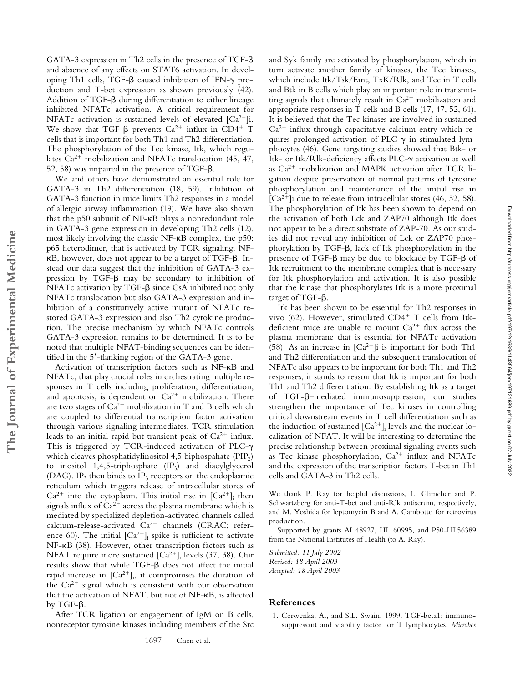GATA-3 expression in Th2 cells in the presence of TGF- $\beta$ and absence of any effects on STAT6 activation. In developing Th1 cells, TGF- $\beta$  caused inhibition of IFN- $\gamma$  production and T-bet expression as shown previously (42). Addition of TGF- $\beta$  during differentiation to either lineage inhibited NFATc activation. A critical requirement for NFATc activation is sustained levels of elevated  $[Ca^{2+}]$ i. We show that TGF- $\beta$  prevents  $Ca^{2+}$  influx in CD4<sup>+</sup> T cells that is important for both Th1 and Th2 differentiation. The phosphorylation of the Tec kinase, Itk, which regulates  $Ca^{2+}$  mobilization and NFATc translocation (45, 47, 52, 58) was impaired in the presence of TGF- $\beta$ .

We and others have demonstrated an essential role for GATA-3 in Th2 differentiation (18, 59). Inhibition of GATA-3 function in mice limits Th2 responses in a model of allergic airway inflammation (19). We have also shown that the p50 subunit of  $NF-\kappa B$  plays a nonredundant role in GATA-3 gene expression in developing Th2 cells (12), most likely involving the classic  $NF-\kappa B$  complex, the p50: p65 heterodimer, that is activated by TCR signaling. NF-  $\kappa$ B, however, does not appear to be a target of TGF- $\beta$ . Instead our data suggest that the inhibition of GATA-3 expression by  $TGF-\beta$  may be secondary to inhibition of  $NFATc$  activation by TGF- $\beta$  since CsA inhibited not only NFATc translocation but also GATA-3 expression and inhibition of a constitutively active mutant of NFATc restored GATA-3 expression and also Th2 cytokine production. The precise mechanism by which NFATc controls GATA-3 expression remains to be determined. It is to be noted that multiple NFAT-binding sequences can be identified in the 5'-flanking region of the GATA-3 gene.

**The Journal of Experimental Medicine**

The Journal of Experimental Medicine

Activation of transcription factors such as NF-KB and NFATc, that play crucial roles in orchestrating multiple responses in T cells including proliferation, differentiation, and apoptosis, is dependent on  $Ca^{2+}$  mobilization. There are two stages of  $Ca^{2+}$  mobilization in T and B cells which are coupled to differential transcription factor activation through various signaling intermediates. TCR stimulation leads to an initial rapid but transient peak of  $Ca^{2+}$  influx. This is triggered by TCR-induced activation of PLC- $\gamma$ which cleaves phosphatidylinositol 4,5 biphospahate  $(PIP<sub>2</sub>)$ to inositol 1,4,5-triphosphate  $(IP_3)$  and diacylglycerol (DAG). IP<sub>3</sub> then binds to IP<sub>3</sub> receptors on the endoplasmic reticulum which triggers release of intracellular stores of  $Ca^{2+}$  into the cytoplasm. This initial rise in  $[Ca^{2+}]$ <sub>i</sub> then signals influx of  $Ca^{2+}$  across the plasma membrane which is mediated by specialized depletion-activated channels called calcium-release-activated  $Ca^{2+}$  channels (CRAC; reference 60). The initial  $\left[Ca^{2+}\right]_i$  spike is sufficient to activate NF-KB (38). However, other transcription factors such as NFAT require more sustained  $\left[Ca^{2+}\right]_i$  levels (37, 38). Our  $r$  results show that while TGF- $\beta$  does not affect the initial rapid increase in  $[Ca^{2+}]_i$ , it compromises the duration of the  $Ca^{2+}$  signal which is consistent with our observation that the activation of NFAT, but not of NF-KB, is affected by TGF- $\beta$ .

After TCR ligation or engagement of IgM on B cells, nonreceptor tyrosine kinases including members of the Src

and Syk family are activated by phosphorylation, which in turn activate another family of kinases, the Tec kinases, which include Itk/Tsk/Emt, TxK/Rlk, and Tec in T cells and Btk in B cells which play an important role in transmitting signals that ultimately result in  $Ca^{2+}$  mobilization and appropriate responses in T cells and B cells (17, 47, 52, 61). It is believed that the Tec kinases are involved in sustained  $Ca<sup>2+</sup>$  influx through capacitative calcium entry which requires prolonged activation of PLC- $\gamma$  in stimulated lymphocytes (46). Gene targeting studies showed that Btk- or Itk- or Itk/Rlk-deficiency affects PLC- $\gamma$  activation as well as  $Ca^{2+}$  mobilization and MAPK activation after TCR ligation despite preservation of normal patterns of tyrosine phosphorylation and maintenance of the initial rise in  $[Ca^{2+}]$ i due to release from intracellular stores (46, 52, 58). The phosphorylation of Itk has been shown to depend on the activation of both Lck and ZAP70 although Itk does not appear to be a direct substrate of ZAP-70. As our studies did not reveal any inhibition of Lck or ZAP70 phosphorylation by TGF- $\beta$ , lack of Itk phosphorylation in the presence of TGF- $\beta$  may be due to blockade by TGF- $\beta$  of Itk recruitment to the membrane complex that is necessary for Itk phosphorylation and activation. It is also possible that the kinase that phosphorylates Itk is a more proximal target of TGF- $\beta$ .

Itk has been shown to be essential for Th2 responses in vivo (62). However, stimulated  $CD4^+$  T cells from Itkdeficient mice are unable to mount  $Ca^{2+}$  flux across the plasma membrane that is essential for NFATc activation (58). As an increase in  $[Ca^{2+}]i$  is important for both Th1 and Th2 differentiation and the subsequent translocation of NFATc also appears to be important for both Th1 and Th2 responses, it stands to reason that Itk is important for both Th1 and Th2 differentiation. By establishing Itk as a target of TGF-ß-mediated immunosuppression, our studies strengthen the importance of Tec kinases in controlling critical downstream events in T cell differentiation such as the induction of sustained  $[Ca^{2+}]_i$  levels and the nuclear localization of NFAT. It will be interesting to determine the precise relationship between proximal signaling events such as Tec kinase phosphorylation,  $Ca^{2+}$  influx and NFATc and the expression of the transcription factors T-bet in Th1 cells and GATA-3 in Th2 cells.

We thank P. Ray for helpful discussions, L. Glimcher and P. Schwartzberg for anti-T-bet and anti-Rlk antiserum, respectively, and M. Yoshida for leptomycin B and A. Gambotto for retrovirus production.

Supported by grants AI 48927, HL 60995, and P50-HL56389 from the National Institutes of Health (to A. Ray).

*Submitted: 11 July 2002 Revised: 18 April 2003 Accepted: 18 April 2003*

## **References**

1. Cerwenka, A., and S.L. Swain. 1999. TGF-beta1: immunosuppressant and viability factor for T lymphocytes. *Microbes*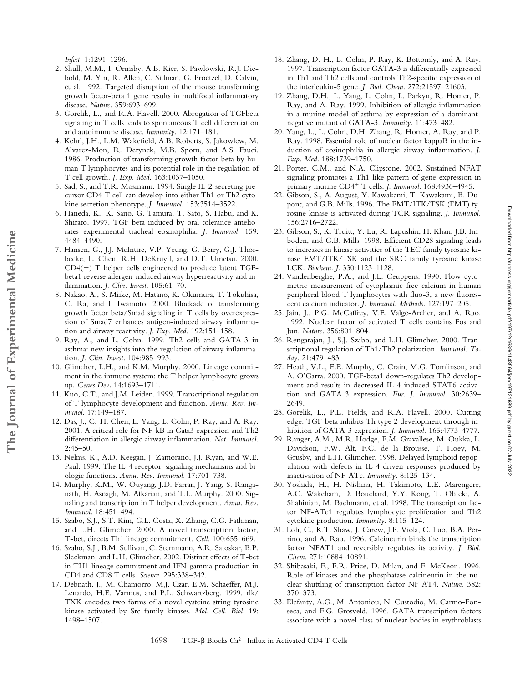*Infect.* 1:1291–1296.

- 2. Shull, M.M., I. Ormsby, A.B. Kier, S. Pawlowski, R.J. Diebold, M. Yin, R. Allen, C. Sidman, G. Proetzel, D. Calvin, et al. 1992. Targeted disruption of the mouse transforming growth factor-beta 1 gene results in multifocal inflammatory disease. *Nature.* 359:693–699.
- 3. Gorelik, L., and R.A. Flavell. 2000. Abrogation of TGFbeta signaling in T cells leads to spontaneous T cell differentiation and autoimmune disease. *Immunity.* 12:171–181.
- 4. Kehrl, J.H., L.M. Wakefield, A.B. Roberts, S. Jakowlew, M. Alvarez-Mon, R. Derynck, M.B. Sporn, and A.S. Fauci. 1986. Production of transforming growth factor beta by human T lymphocytes and its potential role in the regulation of T cell growth. *J. Exp. Med.* 163:1037–1050.
- 5. Sad, S., and T.R. Mosmann. 1994. Single IL-2-secreting precursor CD4 T cell can develop into either Th1 or Th2 cytokine secretion phenotype. *J. Immunol.* 153:3514–3522.
- 6. Haneda, K., K. Sano, G. Tamura, T. Sato, S. Habu, and K. Shirato. 1997. TGF-beta induced by oral tolerance ameliorates experimental tracheal eosinophilia. *J. Immunol.* 159: 4484–4490.
- 7. Hansen, G., J.J. McIntire, V.P. Yeung, G. Berry, G.J. Thorbecke, L. Chen, R.H. DeKruyff, and D.T. Umetsu. 2000.  $CD4(+)$  T helper cells engineered to produce latent TGFbeta1 reverse allergen-induced airway hyperreactivity and inflammation. *J. Clin. Invest.* 105:61–70.
- 8. Nakao, A., S. Miike, M. Hatano, K. Okumura, T. Tokuhisa, C. Ra, and I. Iwamoto. 2000. Blockade of transforming growth factor beta/Smad signaling in T cells by overexpression of Smad7 enhances antigen-induced airway inflammation and airway reactivity. *J. Exp. Med.* 192:151–158.
- 9. Ray, A., and L. Cohn. 1999. Th2 cells and GATA-3 in asthma: new insights into the regulation of airway inflammation. *J. Clin. Invest.* 104:985–993.
- 10. Glimcher, L.H., and K.M. Murphy. 2000. Lineage commitment in the immune system: the T helper lymphocyte grows up. *Genes Dev.* 14:1693–1711.
- 11. Kuo, C.T., and J.M. Leiden. 1999. Transcriptional regulation of T lymphocyte development and function. *Annu. Rev. Immunol.* 17:149–187.
- 12. Das, J., C.-H. Chen, L. Yang, L. Cohn, P. Ray, and A. Ray. 2001. A critical role for NF-kB in Gata3 expression and Th2 differentiation in allergic airway inflammation. *Nat. Immunol.*  $2.45 - 50.$
- 13. Nelms, K., A.D. Keegan, J. Zamorano, J.J. Ryan, and W.E. Paul. 1999. The IL-4 receptor: signaling mechanisms and biologic functions. *Annu. Rev. Immunol.* 17:701–738.
- 14. Murphy, K.M., W. Ouyang, J.D. Farrar, J. Yang, S. Ranganath, H. Asnagli, M. Afkarian, and T.L. Murphy. 2000. Signaling and transcription in T helper development. *Annu. Rev. Immunol.* 18:451–494.
- 15. Szabo, S.J., S.T. Kim, G.L. Costa, X. Zhang, C.G. Fathman, and L.H. Glimcher. 2000. A novel transcription factor, T-bet, directs Th1 lineage commitment. *Cell.* 100:655–669.
- 16. Szabo, S.J., B.M. Sullivan, C. Stemmann, A.R. Satoskar, B.P. Sleckman, and L.H. Glimcher. 2002. Distinct effects of T-bet in TH1 lineage commitment and IFN-gamma production in CD4 and CD8 T cells. *Science.* 295:338–342.
- 17. Debnath, J., M. Chamorro, M.J. Czar, E.M. Schaeffer, M.J. Lenardo, H.E. Varmus, and P.L. Schwartzberg. 1999. rlk/ TXK encodes two forms of a novel cysteine string tyrosine kinase activated by Src family kinases. *Mol. Cell. Biol.* 19: 1498–1507.
- 18. Zhang, D.-H., L. Cohn, P. Ray, K. Bottomly, and A. Ray. 1997. Transcription factor GATA-3 is differentially expressed in Th1 and Th2 cells and controls Th2-specific expression of the interleukin-5 gene. *J. Biol. Chem.* 272:21597–21603.
- 19. Zhang, D.H., L. Yang, L. Cohn, L. Parkyn, R. Homer, P. Ray, and A. Ray. 1999. Inhibition of allergic inflammation in a murine model of asthma by expression of a dominantnegative mutant of GATA-3. *Immunity.* 11:473–482.
- 20. Yang, L., L. Cohn, D.H. Zhang, R. Homer, A. Ray, and P. Ray. 1998. Essential role of nuclear factor kappaB in the induction of eosinophilia in allergic airway inflammation. *J. Exp. Med.* 188:1739–1750.
- 21. Porter, C.M., and N.A. Clipstone. 2002. Sustained NFAT signaling promotes a Th1-like pattern of gene expression in primary murine CD4 T cells. *J. Immunol*. 168:4936–4945.
- 22. Gibson, S., A. August, Y. Kawakami, T. Kawakami, B. Dupont, and G.B. Mills. 1996. The EMT/ITK/TSK (EMT) tyrosine kinase is activated during TCR signaling. *J. Immunol.* 156:2716–2722.
- 23. Gibson, S., K. Truitt, Y. Lu, R. Lapushin, H. Khan, J.B. Imboden, and G.B. Mills. 1998. Efficient CD28 signaling leads to increases in kinase activities of the TEC family tyrosine kinase EMT/ITK/TSK and the SRC family tyrosine kinase LCK. *Biochem. J.* 330:1123–1128.
- 24. Vandenberghe, P.A., and J.L. Ceuppens. 1990. Flow cytometric measurement of cytoplasmic free calcium in human peripheral blood T lymphocytes with fluo-3, a new fluorescent calcium indicator. *J. Immunol. Methods.* 127:197–205.
- 25. Jain, J., P.G. McCaffrey, V.E. Valge-Archer, and A. Rao. 1992. Nuclear factor of activated T cells contains Fos and Jun. *Nature.* 356:801–804.
- 26. Rengarajan, J., S.J. Szabo, and L.H. Glimcher. 2000. Transcriptional regulation of Th1/Th2 polarization. *Immunol. Today.* 21:479–483.
- 27. Heath, V.L., E.E. Murphy, C. Crain, M.G. Tomlinson, and A. O'Garra. 2000. TGF-beta1 down-regulates Th2 development and results in decreased IL-4-induced STAT6 activation and GATA-3 expression. *Eur. J. Immunol.* 30:2639– 2649.
- 28. Gorelik, L., P.E. Fields, and R.A. Flavell. 2000. Cutting edge: TGF-beta inhibits Th type 2 development through inhibition of GATA-3 expression. *J. Immunol.* 165:4773–4777.
- 29. Ranger, A.M., M.R. Hodge, E.M. Gravallese, M. Oukka, L. Davidson, F.W. Alt, F.C. de la Brousse, T. Hoey, M. Grusby, and L.H. Glimcher. 1998. Delayed lymphoid repopulation with defects in IL-4-driven responses produced by inactivation of NF-ATc. *Immunity.* 8:125–134.
- 30. Yoshida, H., H. Nishina, H. Takimoto, L.E. Marengere, A.C. Wakeham, D. Bouchard, Y.Y. Kong, T. Ohteki, A. Shahinian, M. Bachmann, et al. 1998. The transcription factor NF-ATc1 regulates lymphocyte proliferation and Th2 cytokine production. *Immunity.* 8:115–124.
- 31. Loh, C., K.T. Shaw, J. Carew, J.P. Viola, C. Luo, B.A. Perrino, and A. Rao. 1996. Calcineurin binds the transcription factor NFAT1 and reversibly regulates its activity. *J. Biol. Chem.* 271:10884–10891.
- 32. Shibasaki, F., E.R. Price, D. Milan, and F. McKeon. 1996. Role of kinases and the phosphatase calcineurin in the nuclear shuttling of transcription factor NF-AT4. *Nature.* 382: 370–373.
- 33. Elefanty, A.G., M. Antoniou, N. Custodio, M. Carmo-Fonseca, and F.G. Grosveld. 1996. GATA transcription factors associate with a novel class of nuclear bodies in erythroblasts